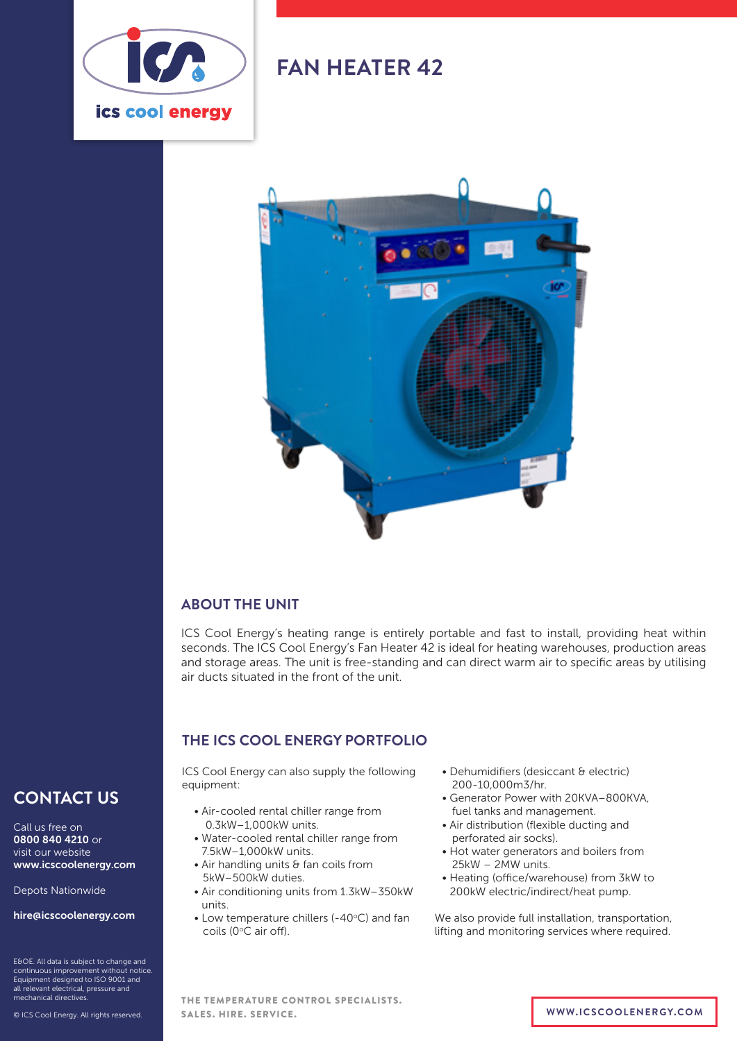

## **FAN HEATER 42**



#### **ABOUT THE UNIT**

ICS Cool Energy's heating range is entirely portable and fast to install, providing heat within seconds. The ICS Cool Energy's Fan Heater 42 is ideal for heating warehouses, production areas and storage areas. The unit is free-standing and can direct warm air to specific areas by utilising air ducts situated in the front of the unit.

#### **THE ICS COOL ENERGY PORTFOLIO**

ICS Cool Energy can also supply the following equipment:

- Air-cooled rental chiller range from 0.3kW–1,000kW units.
- Water-cooled rental chiller range from 7.5kW–1,000kW units.
- Air handling units & fan coils from 5kW–500kW duties.
- Air conditioning units from 1.3kW–350kW units.
- Low temperature chillers (-40°C) and fan coils (0°C air off).
- Dehumidifiers (desiccant & electric) 200-10,000m3/hr.
- Generator Power with 20KVA–800KVA, fuel tanks and management.
- Air distribution (flexible ducting and perforated air socks).
- Hot water generators and boilers from 25kW – 2MW units.
- Heating (office/warehouse) from 3kW to 200kW electric/indirect/heat pump.

We also provide full installation, transportation, lifting and monitoring services where required.

#### **CONTACT US**

Call us free on 0800 840 4210 or visit our website www.icscoolenergy.com

Depots Nationwide

hire@icscoolenergy.com

E&OE. All data is subject to change and continuous improvement without notice. Equipment designed to ISO 9001 and all relevant electrical, pressure and mechanical directives.

© ICS Cool Energy. All rights reserved.

THE TEMPERATURE CONTROL SPECIALISTS. SALES. HIRE. SERVICE. **WWW.ICSCOOLENERGY.COM**